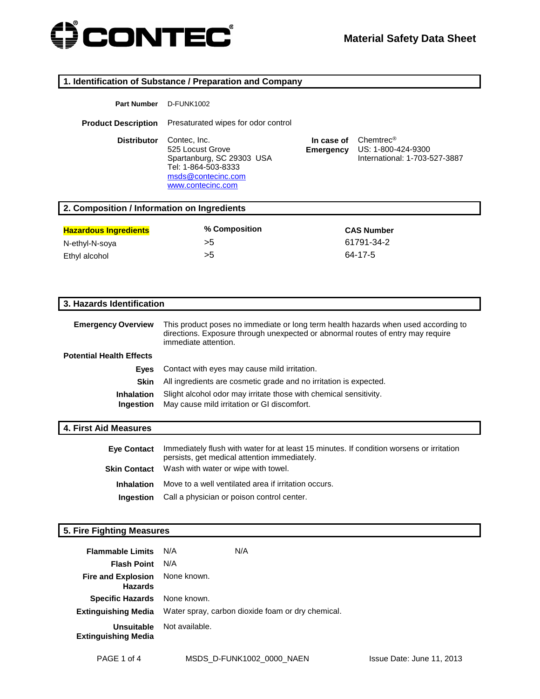

| 1. Identification of Substance / Preparation and Company |                                                                                                                                                                                               |                         |                                                                  |
|----------------------------------------------------------|-----------------------------------------------------------------------------------------------------------------------------------------------------------------------------------------------|-------------------------|------------------------------------------------------------------|
| <b>Part Number</b>                                       | <b>D-FUNK1002</b>                                                                                                                                                                             |                         |                                                                  |
| <b>Product Description</b>                               | Presaturated wipes for odor control                                                                                                                                                           |                         |                                                                  |
| <b>Distributor</b>                                       | Contec, Inc.<br>525 Locust Grove<br>Spartanburg, SC 29303 USA<br>Tel: 1-864-503-8333<br>msds@contecinc.com<br>www.contecinc.com                                                               | In case of<br>Emergency | Chemtrec®<br>US: 1-800-424-9300<br>International: 1-703-527-3887 |
| 2. Composition / Information on Ingredients              |                                                                                                                                                                                               |                         |                                                                  |
| <b>Hazardous Ingredients</b>                             | % Composition                                                                                                                                                                                 |                         | <b>CAS Number</b>                                                |
| N-ethyl-N-soya                                           | >5                                                                                                                                                                                            |                         | 61791-34-2                                                       |
| Ethyl alcohol                                            | >5                                                                                                                                                                                            |                         | 64-17-5                                                          |
|                                                          |                                                                                                                                                                                               |                         |                                                                  |
|                                                          |                                                                                                                                                                                               |                         |                                                                  |
| 3. Hazards Identification                                |                                                                                                                                                                                               |                         |                                                                  |
| <b>Emergency Overview</b>                                | This product poses no immediate or long term health hazards when used according to<br>directions. Exposure through unexpected or abnormal routes of entry may require<br>immediate attention. |                         |                                                                  |
| <b>Potential Health Effects</b>                          |                                                                                                                                                                                               |                         |                                                                  |
| Eyes                                                     | Contact with eyes may cause mild irritation.                                                                                                                                                  |                         |                                                                  |
| <b>Skin</b>                                              | All ingredients are cosmetic grade and no irritation is expected.                                                                                                                             |                         |                                                                  |
| <b>Inhalation</b><br>Ingestion                           | Slight alcohol odor may irritate those with chemical sensitivity.<br>May cause mild irritation or GI discomfort.                                                                              |                         |                                                                  |
| <b>4. First Aid Measures</b>                             |                                                                                                                                                                                               |                         |                                                                  |
| <b>Eye Contact</b>                                       | Immediately flush with water for at least 15 minutes. If condition worsens or irritation<br>persists, get medical attention immediately.                                                      |                         |                                                                  |
| <b>Skin Contact</b>                                      | Wash with water or wipe with towel.                                                                                                                                                           |                         |                                                                  |
| <b>Inhalation</b>                                        | Move to a well ventilated area if irritation occurs.                                                                                                                                          |                         |                                                                  |
| Ingestion                                                | Call a physician or poison control center.                                                                                                                                                    |                         |                                                                  |

# **5. Fire Fighting Measures**

| <b>Flammable Limits</b>                          | N/A<br>N/A                                        |
|--------------------------------------------------|---------------------------------------------------|
| <b>Flash Point</b>                               | N/A                                               |
| Fire and Explosion None known.<br><b>Hazards</b> |                                                   |
| Specific Hazards None known.                     |                                                   |
| <b>Extinguishing Media</b>                       | Water spray, carbon dioxide foam or dry chemical. |
| <b>Unsuitable</b><br><b>Extinguishing Media</b>  | Not available.                                    |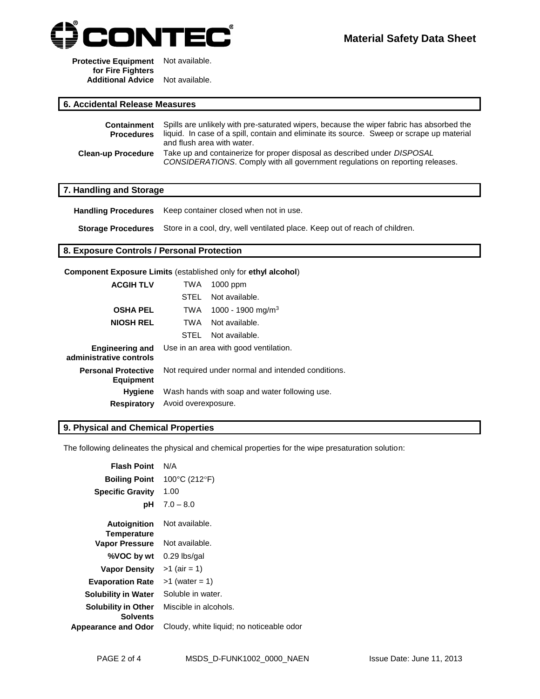

**Protective Equipment**  Not available. **for Fire Fighters Additional Advice** Not available.

#### **6. Accidental Release Measures**

|                           | <b>Containment</b> Spills are unlikely with pre-saturated wipers, because the wiper fabric has absorbed the                                                      |
|---------------------------|------------------------------------------------------------------------------------------------------------------------------------------------------------------|
| <b>Procedures</b>         | liquid. In case of a spill, contain and eliminate its source. Sweep or scrape up material<br>and flush area with water.                                          |
| <b>Clean-up Procedure</b> | Take up and containerize for proper disposal as described under <i>DISPOSAL</i><br>CONSIDERATIONS. Comply with all government regulations on reporting releases. |

#### **7. Handling and Storage**

**Handling Procedures** Keep container closed when not in use.

**Storage Procedures** Store in a cool, dry, well ventilated place. Keep out of reach of children.

#### **8. Exposure Controls / Personal Protection**

**Component Exposure Limits** (established only for **ethyl alcohol**)

| <b>ACGIH TLV</b>                                  | TWA                 | $1000$ ppm                                         |
|---------------------------------------------------|---------------------|----------------------------------------------------|
|                                                   | STEL                | Not available.                                     |
| <b>OSHA PEL</b>                                   | TWA                 | 1000 - 1900 mg/m <sup>3</sup>                      |
| <b>NIOSH REL</b>                                  | TWA                 | Not available.                                     |
|                                                   | STFL                | Not available.                                     |
| <b>Engineering and</b><br>administrative controls |                     | Use in an area with good ventilation.              |
| <b>Personal Protective</b><br><b>Equipment</b>    |                     | Not required under normal and intended conditions. |
| <b>Hygiene</b>                                    |                     | Wash hands with soap and water following use.      |
| <b>Respiratory</b>                                | Avoid overexposure. |                                                    |

#### **9. Physical and Chemical Properties**

The following delineates the physical and chemical properties for the wipe presaturation solution:

| <b>Flash Point</b>                            | N/A                                      |
|-----------------------------------------------|------------------------------------------|
| <b>Boiling Point</b>                          | 100°C (212°F)                            |
|                                               |                                          |
| <b>Specific Gravity</b>                       | 1.00                                     |
| рH                                            | $7.0 - 8.0$                              |
| <b>Autoignition</b><br><b>Temperature</b>     | Not available.                           |
| <b>Vapor Pressure</b>                         | Not available.                           |
| %VOC by wt                                    | $0.29$ lbs/gal                           |
| <b>Vapor Density</b>                          | $>1$ (air = 1)                           |
| <b>Evaporation Rate</b>                       | $>1$ (water = 1)                         |
| <b>Solubility in Water</b>                    | Soluble in water.                        |
| <b>Solubility in Other</b><br><b>Solvents</b> | Miscible in alcohols.                    |
| Appearance and Odor                           | Cloudy, white liquid; no noticeable odor |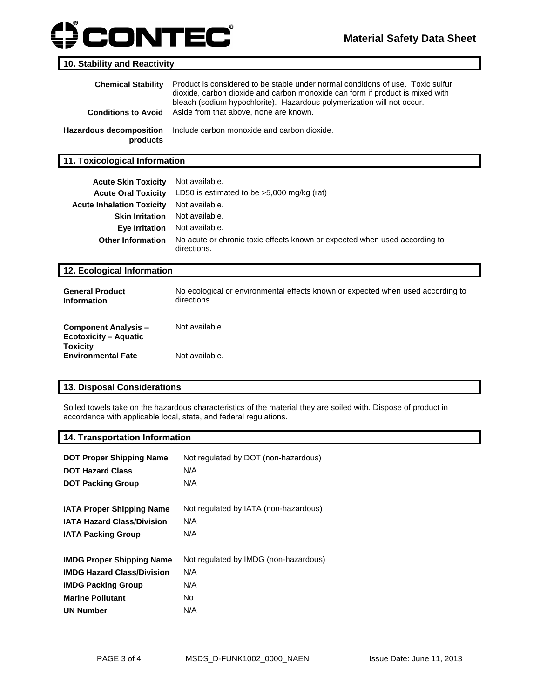# **ONTEC®**

#### **10. Stability and Reactivity**

| <b>Chemical Stability</b><br><b>Conditions to Avoid</b> | Product is considered to be stable under normal conditions of use. Toxic sulfur<br>dioxide, carbon dioxide and carbon monoxide can form if product is mixed with<br>bleach (sodium hypochlorite). Hazardous polymerization will not occur.<br>Aside from that above, none are known. |
|---------------------------------------------------------|--------------------------------------------------------------------------------------------------------------------------------------------------------------------------------------------------------------------------------------------------------------------------------------|
| <b>Hazardous decomposition</b><br>products              | Include carbon monoxide and carbon dioxide.                                                                                                                                                                                                                                          |

**11. Toxicological Information**

| <b>Acute Skin Toxicity</b>       | Not available.                                                                            |
|----------------------------------|-------------------------------------------------------------------------------------------|
| <b>Acute Oral Toxicity</b>       | LD50 is estimated to be $>5,000$ mg/kg (rat)                                              |
| <b>Acute Inhalation Toxicity</b> | Not available.                                                                            |
| <b>Skin Irritation</b>           | Not available.                                                                            |
| Eye Irritation                   | Not available.                                                                            |
| <b>Other Information</b>         | No acute or chronic toxic effects known or expected when used according to<br>directions. |
| 12. Ecological Information       |                                                                                           |

| <b>General Product</b><br><b>Information</b>                                   | No ecological or environmental effects known or expected when used according to<br>directions. |
|--------------------------------------------------------------------------------|------------------------------------------------------------------------------------------------|
| <b>Component Analysis –</b><br><b>Ecotoxicity – Aquatic</b><br><b>Toxicity</b> | Not available.                                                                                 |
| <b>Environmental Fate</b>                                                      | Not available.                                                                                 |

### **13. Disposal Considerations**

Soiled towels take on the hazardous characteristics of the material they are soiled with. Dispose of product in accordance with applicable local, state, and federal regulations.

#### **14. Transportation Information**

| <b>DOT Proper Shipping Name</b><br><b>DOT Hazard Class</b><br><b>DOT Packing Group</b> | Not regulated by DOT (non-hazardous)<br>N/A<br>N/A |
|----------------------------------------------------------------------------------------|----------------------------------------------------|
| <b>IATA Proper Shipping Name</b>                                                       | Not regulated by IATA (non-hazardous)              |
| <b>IATA Hazard Class/Division</b>                                                      | N/A                                                |
| <b>IATA Packing Group</b>                                                              | N/A                                                |
| <b>IMDG Proper Shipping Name</b>                                                       | Not regulated by IMDG (non-hazardous)              |
| <b>IMDG Hazard Class/Division</b>                                                      | N/A                                                |
| <b>IMDG Packing Group</b>                                                              | N/A                                                |
| <b>Marine Pollutant</b>                                                                | No.                                                |
| <b>UN Number</b>                                                                       | N/A                                                |